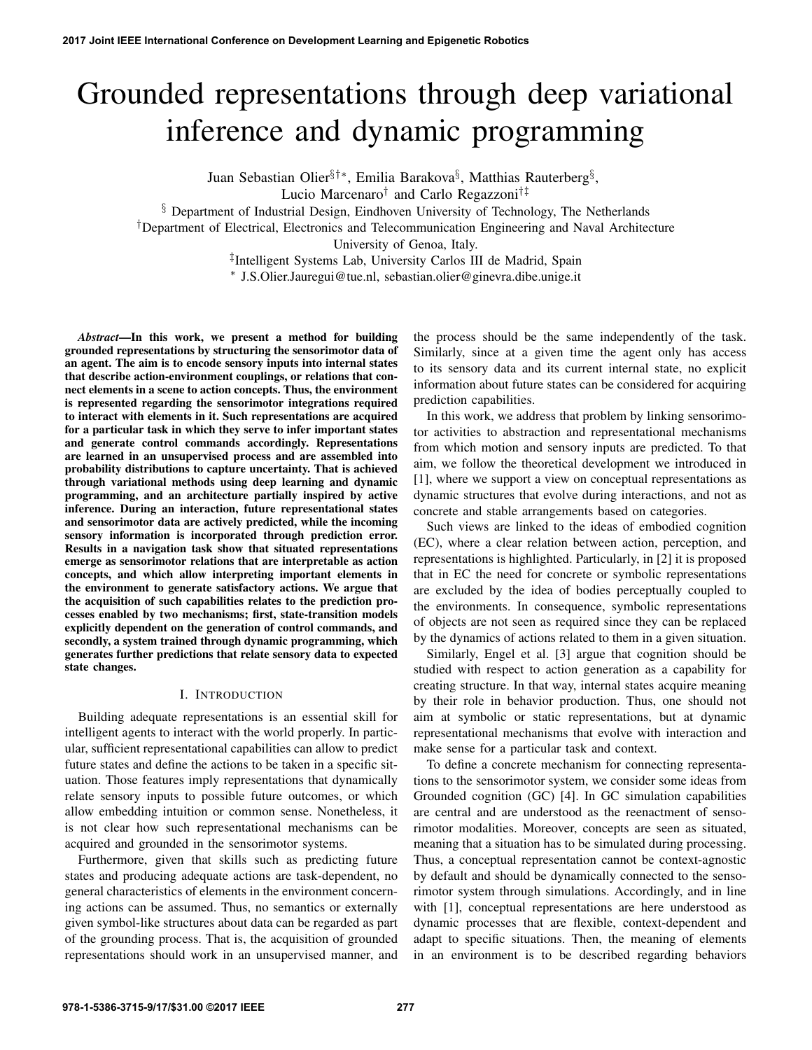# Grounded representations through deep variational inference and dynamic programming

Juan Sebastian Olier§†∗, Emilia Barakova§ , Matthias Rauterberg§ ,

Lucio Marcenaro† and Carlo Regazzoni†‡

§ Department of Industrial Design, Eindhoven University of Technology, The Netherlands

†Department of Electrical, Electronics and Telecommunication Engineering and Naval Architecture

University of Genoa, Italy.

‡ Intelligent Systems Lab, University Carlos III de Madrid, Spain

∗ J.S.Olier.Jauregui@tue.nl, sebastian.olier@ginevra.dibe.unige.it

*Abstract*—In this work, we present a method for building grounded representations by structuring the sensorimotor data of an agent. The aim is to encode sensory inputs into internal states that describe action-environment couplings, or relations that connect elements in a scene to action concepts. Thus, the environment is represented regarding the sensorimotor integrations required to interact with elements in it. Such representations are acquired for a particular task in which they serve to infer important states and generate control commands accordingly. Representations are learned in an unsupervised process and are assembled into probability distributions to capture uncertainty. That is achieved through variational methods using deep learning and dynamic programming, and an architecture partially inspired by active inference. During an interaction, future representational states and sensorimotor data are actively predicted, while the incoming sensory information is incorporated through prediction error. Results in a navigation task show that situated representations emerge as sensorimotor relations that are interpretable as action concepts, and which allow interpreting important elements in the environment to generate satisfactory actions. We argue that the acquisition of such capabilities relates to the prediction processes enabled by two mechanisms; first, state-transition models explicitly dependent on the generation of control commands, and secondly, a system trained through dynamic programming, which generates further predictions that relate sensory data to expected state changes.

## I. INTRODUCTION

Building adequate representations is an essential skill for intelligent agents to interact with the world properly. In particular, sufficient representational capabilities can allow to predict future states and define the actions to be taken in a specific situation. Those features imply representations that dynamically relate sensory inputs to possible future outcomes, or which allow embedding intuition or common sense. Nonetheless, it is not clear how such representational mechanisms can be acquired and grounded in the sensorimotor systems.

Furthermore, given that skills such as predicting future states and producing adequate actions are task-dependent, no general characteristics of elements in the environment concerning actions can be assumed. Thus, no semantics or externally given symbol-like structures about data can be regarded as part of the grounding process. That is, the acquisition of grounded representations should work in an unsupervised manner, and the process should be the same independently of the task. Similarly, since at a given time the agent only has access to its sensory data and its current internal state, no explicit information about future states can be considered for acquiring prediction capabilities.

In this work, we address that problem by linking sensorimotor activities to abstraction and representational mechanisms from which motion and sensory inputs are predicted. To that aim, we follow the theoretical development we introduced in [1], where we support a view on conceptual representations as dynamic structures that evolve during interactions, and not as concrete and stable arrangements based on categories.

Such views are linked to the ideas of embodied cognition (EC), where a clear relation between action, perception, and representations is highlighted. Particularly, in [2] it is proposed that in EC the need for concrete or symbolic representations are excluded by the idea of bodies perceptually coupled to the environments. In consequence, symbolic representations of objects are not seen as required since they can be replaced by the dynamics of actions related to them in a given situation.

Similarly, Engel et al. [3] argue that cognition should be studied with respect to action generation as a capability for creating structure. In that way, internal states acquire meaning by their role in behavior production. Thus, one should not aim at symbolic or static representations, but at dynamic representational mechanisms that evolve with interaction and make sense for a particular task and context.

To define a concrete mechanism for connecting representations to the sensorimotor system, we consider some ideas from Grounded cognition (GC) [4]. In GC simulation capabilities are central and are understood as the reenactment of sensorimotor modalities. Moreover, concepts are seen as situated, meaning that a situation has to be simulated during processing. Thus, a conceptual representation cannot be context-agnostic by default and should be dynamically connected to the sensorimotor system through simulations. Accordingly, and in line with [1], conceptual representations are here understood as dynamic processes that are flexible, context-dependent and adapt to specific situations. Then, the meaning of elements in an environment is to be described regarding behaviors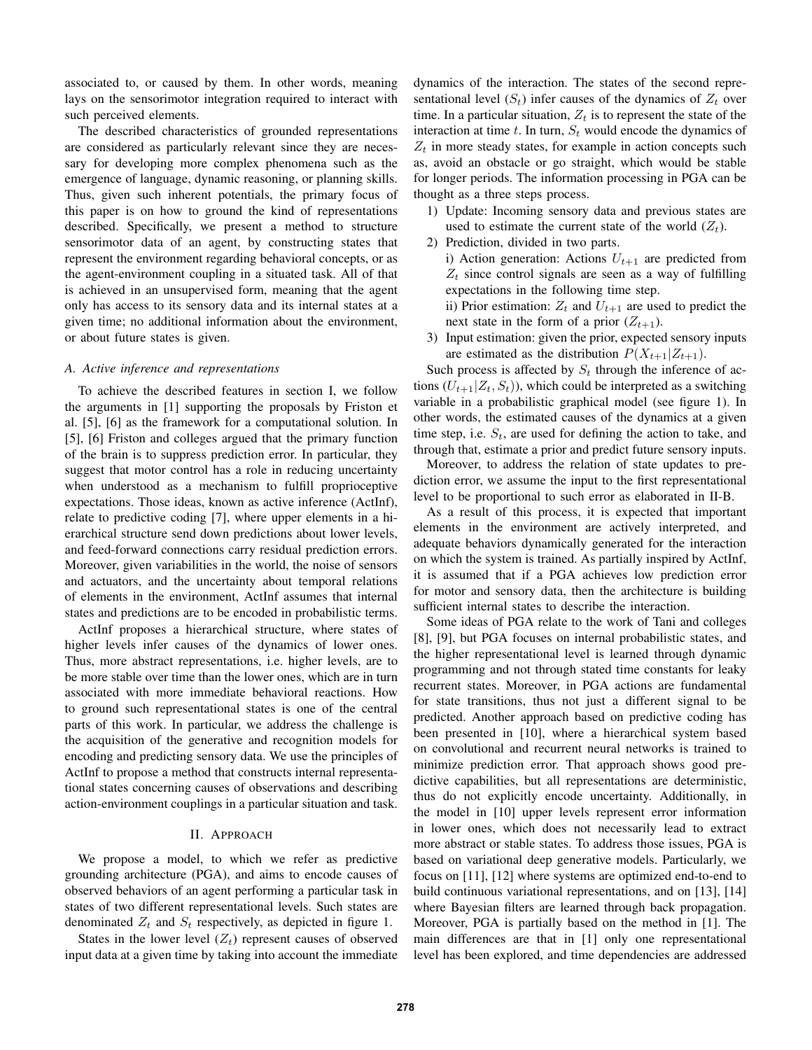associated to, or caused by them. In other words, meaning lays on the sensorimotor integration required to interact with such perceived elements.

The described characteristics of grounded representations are considered as particularly relevant since they are necessary for developing more complex phenomena such as the emergence of language, dynamic reasoning, or planning skills. Thus, given such inherent potentials, the primary focus of this paper is on how to ground the kind of representations described. Specifically, we present a method to structure sensorimotor data of an agent, by constructing states that represent the environment regarding behavioral concepts, or as the agent-environment coupling in a situated task. All of that is achieved in an unsupervised form, meaning that the agent only has access to its sensory data and its internal states at a given time; no additional information about the environment, or about future states is given.

#### *A. Active inference and representations*

To achieve the described features in section I, we follow the arguments in [1] supporting the proposals by Friston et al. [5], [6] as the framework for a computational solution. In [5], [6] Friston and colleges argued that the primary function of the brain is to suppress prediction error. In particular, they suggest that motor control has a role in reducing uncertainty when understood as a mechanism to fulfill proprioceptive expectations. Those ideas, known as active inference (ActInf), relate to predictive coding [7], where upper elements in a hierarchical structure send down predictions about lower levels, and feed-forward connections carry residual prediction errors. Moreover, given variabilities in the world, the noise of sensors and actuators, and the uncertainty about temporal relations of elements in the environment, ActInf assumes that internal states and predictions are to be encoded in probabilistic terms.

ActInf proposes a hierarchical structure, where states of higher levels infer causes of the dynamics of lower ones. Thus, more abstract representations, i.e. higher levels, are to be more stable over time than the lower ones, which are in turn associated with more immediate behavioral reactions. How to ground such representational states is one of the central parts of this work. In particular, we address the challenge is the acquisition of the generative and recognition models for encoding and predicting sensory data. We use the principles of ActInf to propose a method that constructs internal representational states concerning causes of observations and describing action-environment couplings in a particular situation and task.

#### II. APPROACH

We propose a model, to which we refer as predictive grounding architecture (PGA), and aims to encode causes of observed behaviors of an agent performing a particular task in states of two different representational levels. Such states are denominated  $Z_t$  and  $S_t$  respectively, as depicted in figure 1.

States in the lower level  $(Z_t)$  represent causes of observed input data at a given time by taking into account the immediate dynamics of the interaction. The states of the second representational level  $(S_t)$  infer causes of the dynamics of  $Z_t$  over time. In a particular situation,  $Z_t$  is to represent the state of the interaction at time  $t$ . In turn,  $S_t$  would encode the dynamics of  $Z_t$  in more steady states, for example in action concepts such as, avoid an obstacle or go straight, which would be stable for longer periods. The information processing in PGA can be thought as a three steps process.

- 1) Update: Incoming sensory data and previous states are used to estimate the current state of the world  $(Z_t)$ .
- 2) Prediction, divided in two parts.
	- i) Action generation: Actions  $U_{t+1}$  are predicted from  $Z_t$  since control signals are seen as a way of fulfilling expectations in the following time step.

ii) Prior estimation:  $Z_t$  and  $U_{t+1}$  are used to predict the next state in the form of a prior  $(Z_{t+1})$ .

3) Input estimation: given the prior, expected sensory inputs are estimated as the distribution  $P(X_{t+1}|Z_{t+1})$ .

Such process is affected by  $S_t$  through the inference of actions  $(U_{t+1}|Z_t, S_t)$ , which could be interpreted as a switching variable in a probabilistic graphical model (see figure 1). In other words, the estimated causes of the dynamics at a given time step, i.e.  $S_t$ , are used for defining the action to take, and through that, estimate a prior and predict future sensory inputs.

Moreover, to address the relation of state updates to prediction error, we assume the input to the first representational level to be proportional to such error as elaborated in II-B.

As a result of this process, it is expected that important elements in the environment are actively interpreted, and adequate behaviors dynamically generated for the interaction on which the system is trained. As partially inspired by ActInf, it is assumed that if a PGA achieves low prediction error for motor and sensory data, then the architecture is building sufficient internal states to describe the interaction.

Some ideas of PGA relate to the work of Tani and colleges [8], [9], but PGA focuses on internal probabilistic states, and the higher representational level is learned through dynamic programming and not through stated time constants for leaky recurrent states. Moreover, in PGA actions are fundamental for state transitions, thus not just a different signal to be predicted. Another approach based on predictive coding has been presented in [10], where a hierarchical system based on convolutional and recurrent neural networks is trained to minimize prediction error. That approach shows good predictive capabilities, but all representations are deterministic, thus do not explicitly encode uncertainty. Additionally, in the model in [10] upper levels represent error information in lower ones, which does not necessarily lead to extract more abstract or stable states. To address those issues, PGA is based on variational deep generative models. Particularly, we focus on [11], [12] where systems are optimized end-to-end to build continuous variational representations, and on [13], [14] where Bayesian filters are learned through back propagation. Moreover, PGA is partially based on the method in [1]. The main differences are that in [1] only one representational level has been explored, and time dependencies are addressed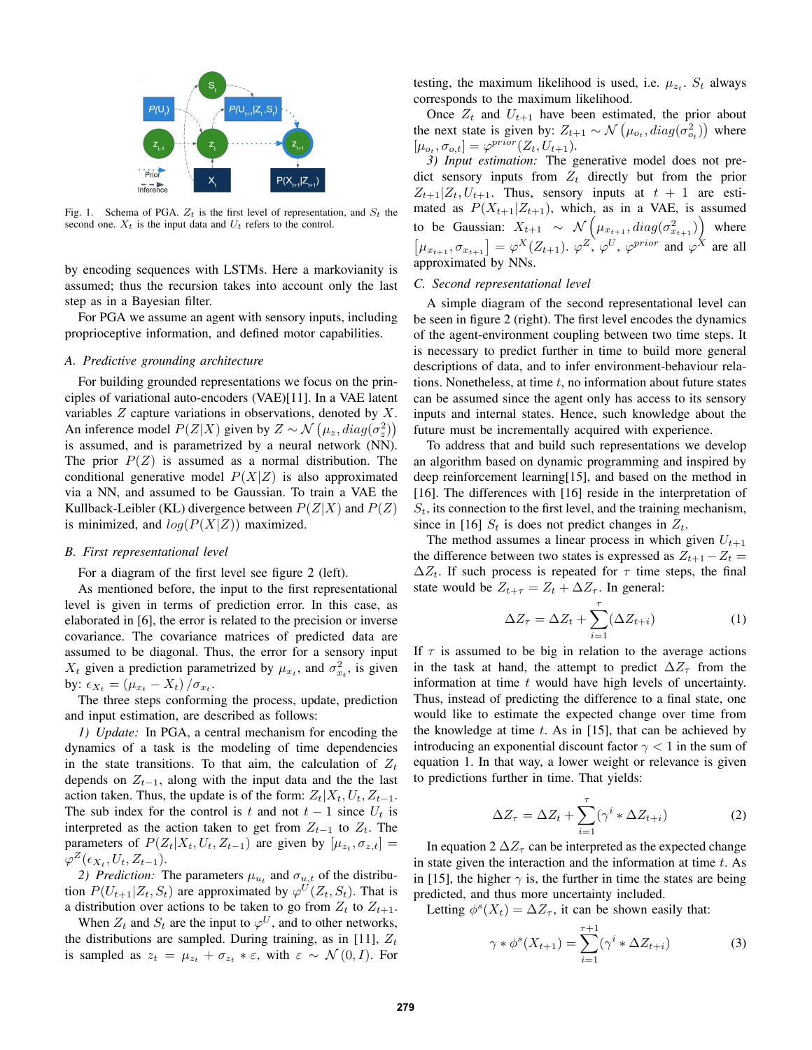

Fig. 1. Schema of PGA.  $Z_t$  is the first level of representation, and  $S_t$  the second one.  $X_t$  is the input data and  $U_t$  refers to the control.

by encoding sequences with LSTMs. Here a markovianity is assumed; thus the recursion takes into account only the last step as in a Bayesian filter.

For PGA we assume an agent with sensory inputs, including proprioceptive information, and defined motor capabilities.

#### *A. Predictive grounding architecture*

For building grounded representations we focus on the principles of variational auto-encoders (VAE)[11]. In a VAE latent variables  $Z$  capture variations in observations, denoted by  $X$ . An inference model  $P(Z|X)$  given by  $Z \sim \mathcal{N}(\mu_z, diag(\sigma_z^2))$ is assumed, and is parametrized by a neural network (NN). The prior  $P(Z)$  is assumed as a normal distribution. The conditional generative model  $P(X|Z)$  is also approximated via a NN, and assumed to be Gaussian. To train a VAE the Kullback-Leibler (KL) divergence between  $P(Z|X)$  and  $P(Z)$ is minimized, and  $log(P(X|Z))$  maximized.

#### *B. First representational level*

For a diagram of the first level see figure 2 (left).

As mentioned before, the input to the first representational level is given in terms of prediction error. In this case, as elaborated in [6], the error is related to the precision or inverse covariance. The covariance matrices of predicted data are assumed to be diagonal. Thus, the error for a sensory input  $X_t$  given a prediction parametrized by  $\mu_{x_t}$ , and  $\sigma_{x_t}^2$ , is given by:  $\epsilon_{X_t} = (\mu_{x_t} - X_t) / \sigma_{x_t}$ .

The three steps conforming the process, update, prediction and input estimation, are described as follows:

*1) Update:* In PGA, a central mechanism for encoding the dynamics of a task is the modeling of time dependencies in the state transitions. To that aim, the calculation of  $Z_t$ depends on  $Z_{t-1}$ , along with the input data and the the last action taken. Thus, the update is of the form:  $Z_t|X_t, U_t, Z_{t-1}$ . The sub index for the control is t and not  $t - 1$  since  $U_t$  is interpreted as the action taken to get from  $Z_{t-1}$  to  $Z_t$ . The parameters of  $P(Z_t|X_t, U_t, Z_{t-1})$  are given by  $[\mu_{z_t}, \sigma_{z,t}] =$  $\varphi^Z(\epsilon_{X_t}, U_t, Z_{t-1}).$ 

2) *Prediction:* The parameters  $\mu_{u_t}$  and  $\sigma_{u,t}$  of the distribution  $P(U_{t+1}|Z_t, S_t)$  are approximated by  $\varphi^U(Z_t, S_t)$ . That is a distribution over actions to be taken to go from  $Z_t$  to  $Z_{t+1}$ .

When  $Z_t$  and  $S_t$  are the input to  $\varphi^U$ , and to other networks, the distributions are sampled. During training, as in [11],  $Z_t$ is sampled as  $z_t = \mu_{z_t} + \sigma_{z_t} * \varepsilon$ , with  $\varepsilon \sim \mathcal{N}(0, I)$ . For

testing, the maximum likelihood is used, i.e.  $\mu_{z_t}$ .  $S_t$  always corresponds to the maximum likelihood.

Once  $Z_t$  and  $U_{t+1}$  have been estimated, the prior about the next state is given by:  $Z_{t+1} \sim \mathcal{N}(\mu_{o_t}, diag(\sigma_{o_t}^2))$  where  $[\mu_{o_t}, \sigma_{o,t}] = \varphi^{prior}(Z_t, U_{t+1}).$ 

*3) Input estimation:* The generative model does not predict sensory inputs from  $Z_t$  directly but from the prior  $Z_{t+1}|Z_t, U_{t+1}$ . Thus, sensory inputs at  $t + 1$  are estimated as  $P(X_{t+1}|Z_{t+1})$ , which, as in a VAE, is assumed to be Gaussian:  $X_{t+1} \sim \mathcal{N}\left(\mu_{x_{t+1}}, diag(\sigma_{x_{t+1}}^2)\right)$  where  $[\mu_{x_{t+1}}, \sigma_{x_{t+1}}] = \varphi^X(Z_{t+1}).$   $\varphi^Z, \varphi^U, \varphi^{prior}$  and  $\varphi^X$  are all approximated by NNs.

## *C. Second representational level*

A simple diagram of the second representational level can be seen in figure 2 (right). The first level encodes the dynamics of the agent-environment coupling between two time steps. It is necessary to predict further in time to build more general descriptions of data, and to infer environment-behaviour relations. Nonetheless, at time  $t$ , no information about future states can be assumed since the agent only has access to its sensory inputs and internal states. Hence, such knowledge about the future must be incrementally acquired with experience.

To address that and build such representations we develop an algorithm based on dynamic programming and inspired by deep reinforcement learning[15], and based on the method in [16]. The differences with [16] reside in the interpretation of  $S_t$ , its connection to the first level, and the training mechanism, since in [16]  $S_t$  is does not predict changes in  $Z_t$ .

The method assumes a linear process in which given  $U_{t+1}$ the difference between two states is expressed as  $Z_{t+1} - Z_t =$  $\Delta Z_t$ . If such process is repeated for  $\tau$  time steps, the final state would be  $Z_{t+\tau} = Z_t + \Delta Z_{\tau}$ . In general:

$$
\Delta Z_{\tau} = \Delta Z_t + \sum_{i=1}^{\tau} (\Delta Z_{t+i})
$$
 (1)

If  $\tau$  is assumed to be big in relation to the average actions in the task at hand, the attempt to predict  $\Delta Z_{\tau}$  from the information at time  $t$  would have high levels of uncertainty. Thus, instead of predicting the difference to a final state, one would like to estimate the expected change over time from the knowledge at time  $t$ . As in [15], that can be achieved by introducing an exponential discount factor  $\gamma < 1$  in the sum of equation 1. In that way, a lower weight or relevance is given to predictions further in time. That yields:

$$
\Delta Z_{\tau} = \Delta Z_t + \sum_{i=1}^{\tau} (\gamma^i * \Delta Z_{t+i})
$$
 (2)

In equation 2  $\Delta Z_{\tau}$  can be interpreted as the expected change in state given the interaction and the information at time  $t$ . As in [15], the higher  $\gamma$  is, the further in time the states are being predicted, and thus more uncertainty included.

Letting  $\phi^s(X_t) = \Delta Z_\tau$ , it can be shown easily that:

$$
\gamma * \phi^{s}(X_{t+1}) = \sum_{i=1}^{\tau+1} (\gamma^{i} * \Delta Z_{t+i})
$$
 (3)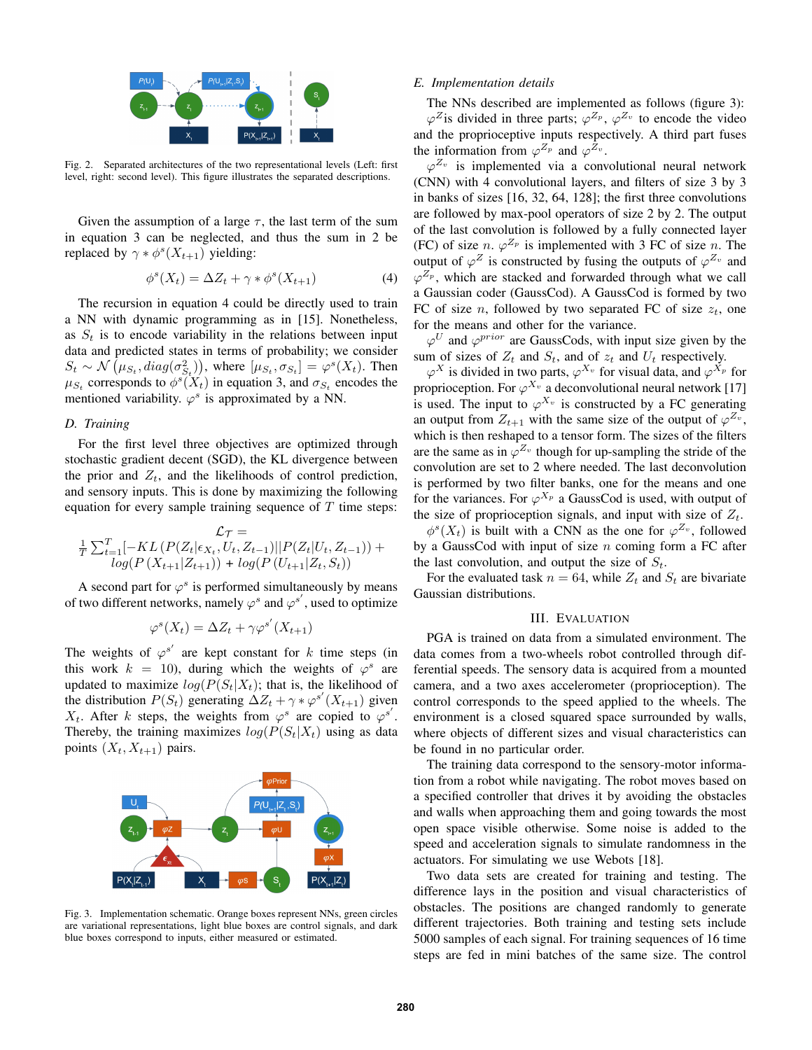

Fig. 2. Separated architectures of the two representational levels (Left: first level, right: second level). This figure illustrates the separated descriptions.

Given the assumption of a large  $\tau$ , the last term of the sum in equation 3 can be neglected, and thus the sum in 2 be replaced by  $\gamma * \phi^s(X_{t+1})$  yielding:

$$
\phi^s(X_t) = \Delta Z_t + \gamma * \phi^s(X_{t+1})
$$
\n(4)

The recursion in equation 4 could be directly used to train a NN with dynamic programming as in [15]. Nonetheless, as  $S_t$  is to encode variability in the relations between input data and predicted states in terms of probability; we consider  $S_t \sim \mathcal{N}(\mu_{S_t}, diag(\sigma_{S_t}^2))$ , where  $[\mu_{S_t}, \sigma_{S_t}] = \varphi^s(X_t)$ . Then  $\mu_{S_t}$  corresponds to  $\phi^s(X_t)$  in equation 3, and  $\sigma_{S_t}$  encodes the mentioned variability.  $\varphi^s$  is approximated by a NN.

#### *D. Training*

For the first level three objectives are optimized through stochastic gradient decent (SGD), the KL divergence between the prior and  $Z_t$ , and the likelihoods of control prediction, and sensory inputs. This is done by maximizing the following equation for every sample training sequence of  $T$  time steps:

$$
\mathcal{L}_{\mathcal{T}} = \frac{\frac{1}{T} \sum_{t=1}^{T} [-KL(P(Z_t|\epsilon_{X_t}, U_t, Z_{t-1}) || P(Z_t|U_t, Z_{t-1})) + log(P(X_{t+1}|Z_{t+1})) + log(P(U_{t+1}|Z_t, S_t))}
$$

A second part for  $\varphi^s$  is performed simultaneously by means of two different networks, namely  $\varphi^s$  and  $\varphi^{s'}$ , used to optimize

$$
\varphi^s(X_t) = \Delta Z_t + \gamma \varphi^{s'}(X_{t+1})
$$

The weights of  $\varphi^{s'}$  are kept constant for k time steps (in this work  $k = 10$ , during which the weights of  $\varphi^s$  are updated to maximize  $log(P(S_t|X_t))$ ; that is, the likelihood of the distribution  $P(S_t)$  generating  $\Delta Z_t + \gamma * \varphi^{s'}(X_{t+1})$  given  $X_t$ . After k steps, the weights from  $\varphi^s$  are copied to  $\varphi^{s'}$ . Thereby, the training maximizes  $log(P(S_t|X_t))$  using as data points  $(X_t, X_{t+1})$  pairs.



Fig. 3. Implementation schematic. Orange boxes represent NNs, green circles are variational representations, light blue boxes are control signals, and dark blue boxes correspond to inputs, either measured or estimated.

#### *E. Implementation details*

The NNs described are implemented as follows (figure 3):  $\varphi^Z$  is divided in three parts;  $\varphi^{Z_p}$ ,  $\varphi^{Z_v}$  to encode the video and the proprioceptive inputs respectively. A third part fuses the information from  $\varphi^{Z_p}$  and  $\varphi^{Z_v}$ .

 $\varphi^{Z_v}$  is implemented via a convolutional neural network (CNN) with 4 convolutional layers, and filters of size 3 by 3 in banks of sizes [16, 32, 64, 128]; the first three convolutions are followed by max-pool operators of size 2 by 2. The output of the last convolution is followed by a fully connected layer (FC) of size n.  $\varphi^{Z_p}$  is implemented with 3 FC of size n. The output of  $\varphi^Z$  is constructed by fusing the outputs of  $\varphi^{Z_v}$  and  $\varphi^{Z_p}$ , which are stacked and forwarded through what we call a Gaussian coder (GaussCod). A GaussCod is formed by two FC of size n, followed by two separated FC of size  $z_t$ , one for the means and other for the variance.

 $\varphi^{U}$  and  $\varphi^{prior}$  are GaussCods, with input size given by the sum of sizes of  $Z_t$  and  $S_t$ , and of  $z_t$  and  $U_t$  respectively.

 $\varphi^X$  is divided in two parts,  $\varphi^{X_v}$  for visual data, and  $\varphi^{X_p}$  for proprioception. For  $\varphi^{X_v}$  a deconvolutional neural network [17] is used. The input to  $\varphi^{X_v}$  is constructed by a FC generating an output from  $Z_{t+1}$  with the same size of the output of  $\varphi^{Z_v}$ , which is then reshaped to a tensor form. The sizes of the filters are the same as in  $\varphi^{Z_v}$  though for up-sampling the stride of the convolution are set to 2 where needed. The last deconvolution is performed by two filter banks, one for the means and one for the variances. For  $\varphi^{X_p}$  a GaussCod is used, with output of the size of proprioception signals, and input with size of  $Z_t$ .

 $\phi^{s}(X_t)$  is built with a CNN as the one for  $\varphi^{Z_v}$ , followed by a GaussCod with input of size  $n$  coming form a FC after the last convolution, and output the size of  $S_t$ .

For the evaluated task  $n = 64$ , while  $Z_t$  and  $S_t$  are bivariate Gaussian distributions.

# III. EVALUATION

PGA is trained on data from a simulated environment. The data comes from a two-wheels robot controlled through differential speeds. The sensory data is acquired from a mounted camera, and a two axes accelerometer (proprioception). The control corresponds to the speed applied to the wheels. The environment is a closed squared space surrounded by walls, where objects of different sizes and visual characteristics can be found in no particular order.

The training data correspond to the sensory-motor information from a robot while navigating. The robot moves based on a specified controller that drives it by avoiding the obstacles and walls when approaching them and going towards the most open space visible otherwise. Some noise is added to the speed and acceleration signals to simulate randomness in the actuators. For simulating we use Webots [18].

Two data sets are created for training and testing. The difference lays in the position and visual characteristics of obstacles. The positions are changed randomly to generate different trajectories. Both training and testing sets include 5000 samples of each signal. For training sequences of 16 time steps are fed in mini batches of the same size. The control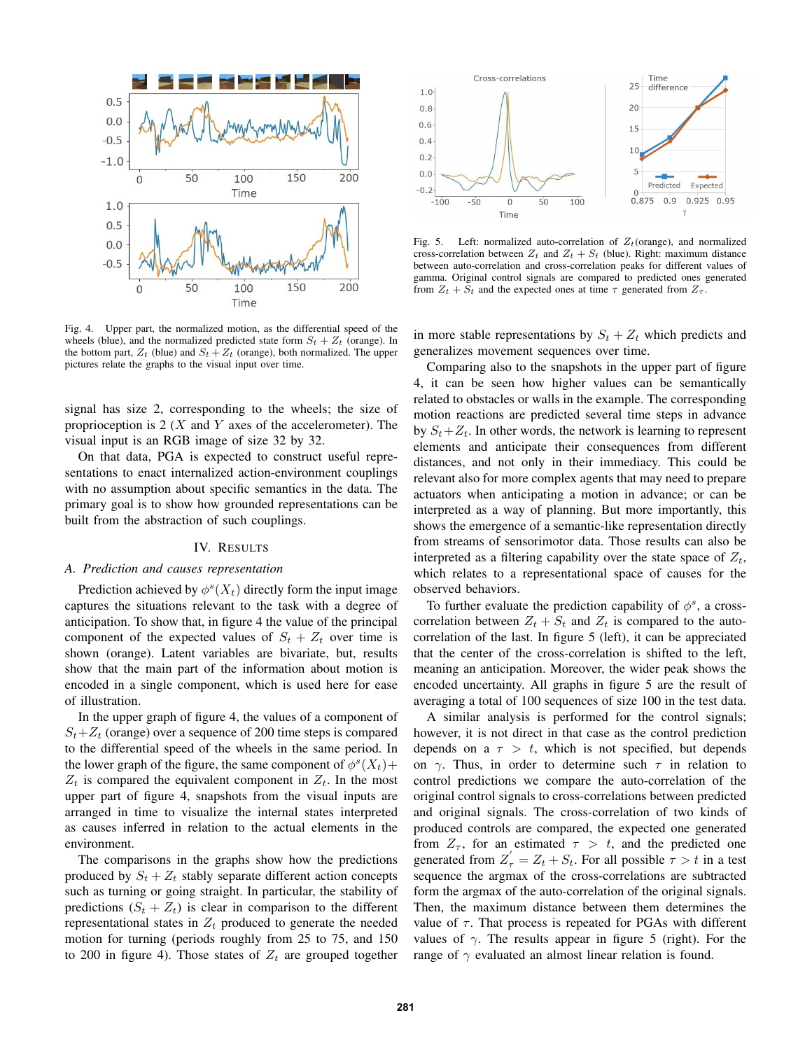

Fig. 4. Upper part, the normalized motion, as the differential speed of the wheels (blue), and the normalized predicted state form  $S_t + Z_t$  (orange). In the bottom part,  $Z_t$  (blue) and  $S_t + Z_t$  (orange), both normalized. The upper pictures relate the graphs to the visual input over time.

signal has size 2, corresponding to the wheels; the size of proprioception is 2  $(X$  and Y axes of the accelerometer). The visual input is an RGB image of size 32 by 32.

On that data, PGA is expected to construct useful representations to enact internalized action-environment couplings with no assumption about specific semantics in the data. The primary goal is to show how grounded representations can be built from the abstraction of such couplings.

# IV. RESULTS

#### *A. Prediction and causes representation*

Prediction achieved by  $\phi^s(X_t)$  directly form the input image captures the situations relevant to the task with a degree of anticipation. To show that, in figure 4 the value of the principal component of the expected values of  $S_t + Z_t$  over time is shown (orange). Latent variables are bivariate, but, results show that the main part of the information about motion is encoded in a single component, which is used here for ease of illustration.

In the upper graph of figure 4, the values of a component of  $S_t + Z_t$  (orange) over a sequence of 200 time steps is compared to the differential speed of the wheels in the same period. In the lower graph of the figure, the same component of  $\phi^s(X_t)$  +  $Z_t$  is compared the equivalent component in  $Z_t$ . In the most upper part of figure 4, snapshots from the visual inputs are arranged in time to visualize the internal states interpreted as causes inferred in relation to the actual elements in the environment.

The comparisons in the graphs show how the predictions produced by  $S_t + Z_t$  stably separate different action concepts such as turning or going straight. In particular, the stability of predictions  $(S_t + Z_t)$  is clear in comparison to the different representational states in  $Z_t$  produced to generate the needed motion for turning (periods roughly from 25 to 75, and 150 to 200 in figure 4). Those states of  $Z_t$  are grouped together



Fig. 5. Left: normalized auto-correlation of  $Z_t$ (orange), and normalized cross-correlation between  $Z_t$  and  $Z_t + S_t$  (blue). Right: maximum distance between auto-correlation and cross-correlation peaks for different values of gamma. Original control signals are compared to predicted ones generated from  $Z_t + S_t$  and the expected ones at time  $\tau$  generated from  $Z_{\tau}$ .

in more stable representations by  $S_t + Z_t$  which predicts and generalizes movement sequences over time.

Comparing also to the snapshots in the upper part of figure 4, it can be seen how higher values can be semantically related to obstacles or walls in the example. The corresponding motion reactions are predicted several time steps in advance by  $S_t + Z_t$ . In other words, the network is learning to represent elements and anticipate their consequences from different distances, and not only in their immediacy. This could be relevant also for more complex agents that may need to prepare actuators when anticipating a motion in advance; or can be interpreted as a way of planning. But more importantly, this shows the emergence of a semantic-like representation directly from streams of sensorimotor data. Those results can also be interpreted as a filtering capability over the state space of  $Z_t$ , which relates to a representational space of causes for the observed behaviors.

To further evaluate the prediction capability of  $\phi^s$ , a crosscorrelation between  $Z_t + S_t$  and  $Z_t$  is compared to the autocorrelation of the last. In figure 5 (left), it can be appreciated that the center of the cross-correlation is shifted to the left, meaning an anticipation. Moreover, the wider peak shows the encoded uncertainty. All graphs in figure 5 are the result of averaging a total of 100 sequences of size 100 in the test data.

A similar analysis is performed for the control signals; however, it is not direct in that case as the control prediction depends on a  $\tau > t$ , which is not specified, but depends on  $\gamma$ . Thus, in order to determine such  $\tau$  in relation to control predictions we compare the auto-correlation of the original control signals to cross-correlations between predicted and original signals. The cross-correlation of two kinds of produced controls are compared, the expected one generated from  $Z_{\tau}$ , for an estimated  $\tau > t$ , and the predicted one generated from  $Z_{\tau}^{'} = Z_t + S_t$ . For all possible  $\tau > t$  in a test sequence the argmax of the cross-correlations are subtracted form the argmax of the auto-correlation of the original signals. Then, the maximum distance between them determines the value of  $\tau$ . That process is repeated for PGAs with different values of  $\gamma$ . The results appear in figure 5 (right). For the range of  $\gamma$  evaluated an almost linear relation is found.